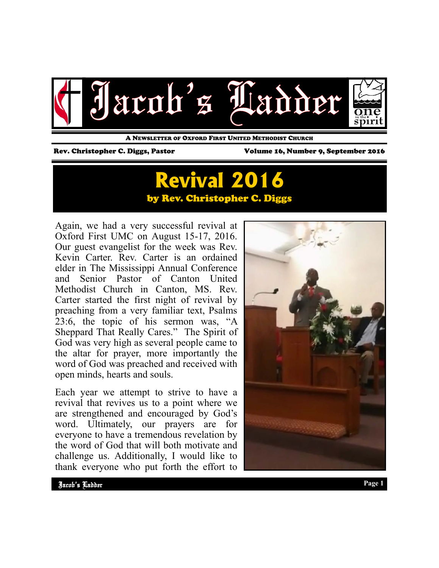

A NEWSLETTER OF OXFORD FIRST UNITED METHODIST CHURCH

Rev. Christopher C. Diggs, Pastor Volume 16, Number 9, September 2016

# **Revival 2016**  by Rev. Christopher C. Diggs

Again, we had a very successful revival at Oxford First UMC on August 15-17, 2016. Our guest evangelist for the week was Rev. Kevin Carter. Rev. Carter is an ordained elder in The Mississippi Annual Conference and Senior Pastor of Canton United Methodist Church in Canton, MS. Rev. Carter started the first night of revival by preaching from a very familiar text, Psalms 23:6, the topic of his sermon was, "A Sheppard That Really Cares." The Spirit of God was very high as several people came to the altar for prayer, more importantly the word of God was preached and received with open minds, hearts and souls.

Each year we attempt to strive to have a revival that revives us to a point where we are strengthened and encouraged by God's word. Ultimately, our prayers are for everyone to have a tremendous revelation by the word of God that will both motivate and challenge us. Additionally, I would like to thank everyone who put forth the effort to

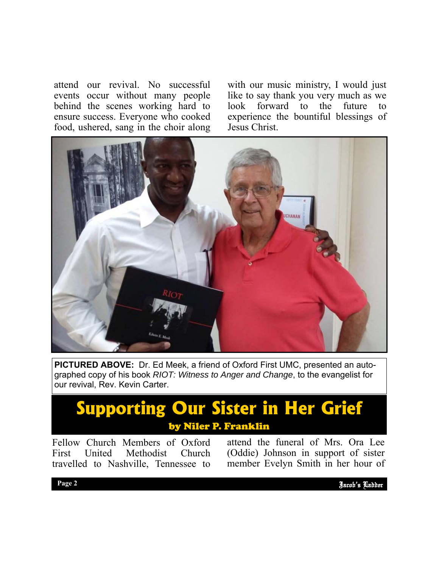attend our revival. No successful events occur without many people behind the scenes working hard to ensure success. Everyone who cooked food, ushered, sang in the choir along

with our music ministry, I would just like to say thank you very much as we look forward to the future to experience the bountiful blessings of Jesus Christ.



**PICTURED ABOVE:** Dr. Ed Meek, a friend of Oxford First UMC, presented an autographed copy of his book *RIOT: Witness to Anger and Change*, to the evangelist for our revival, Rev. Kevin Carter.

## **Supporting Our Sister in Her Grief**  by Niler P. Franklin

Fellow Church Members of Oxford First United Methodist Church travelled to Nashville, Tennessee to

attend the funeral of Mrs. Ora Lee (Oddie) Johnson in support of sister member Evelyn Smith in her hour of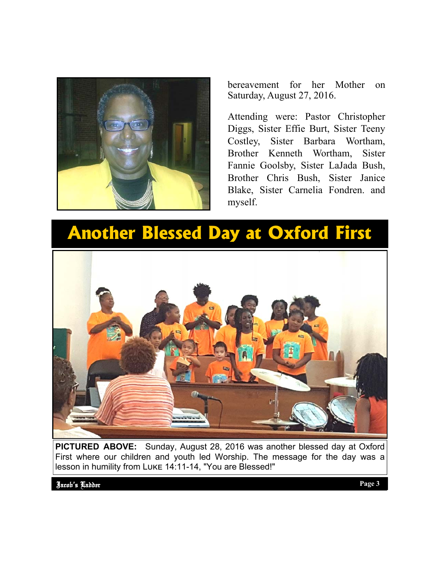

bereavement for her Mother on Saturday, August 27, 2016.

Attending were: Pastor Christopher Diggs, Sister Effie Burt, Sister Teeny Costley, Sister Barbara Wortham, Brother Kenneth Wortham, Sister Fannie Goolsby, Sister LaJada Bush, Brother Chris Bush, Sister Janice Blake, Sister Carnelia Fondren. and myself.

# **Another Blessed Day at Oxford First**



**PICTURED ABOVE:** Sunday, August 28, 2016 was another blessed day at Oxford First where our children and youth led Worship. The message for the day was a lesson in humility from LUKE 14:11-14, "You are Blessed!"

Jacob's Ladder Page 2 **Page 3 Page 3** Jacob's Ladder